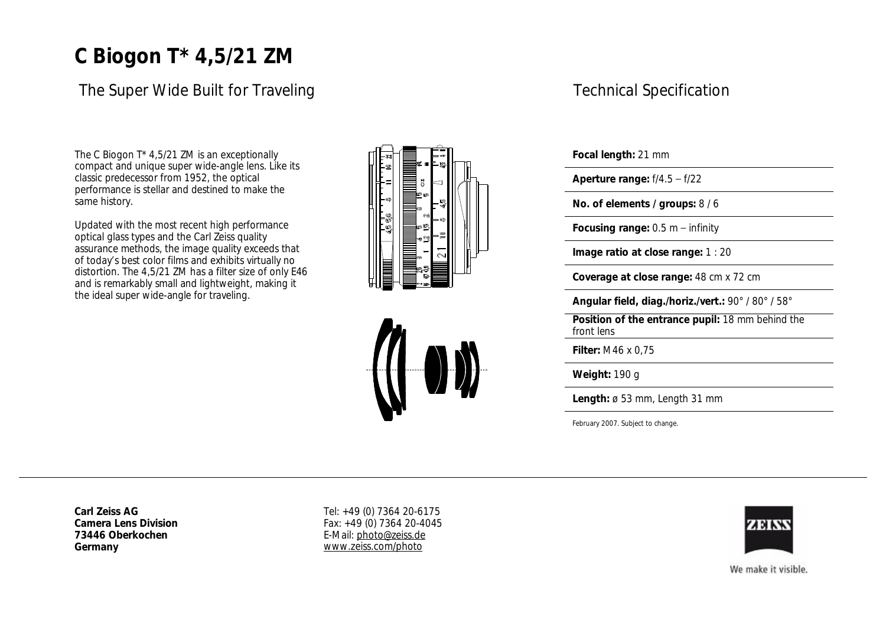# **C Biogon T\* 4,5/21 ZM**

### The Super Wide Built for Traveling

The C Biogon T\* 4,5/21 ZM is an exceptionally compact and unique super wide-angle lens. Like its classic predecessor from 1952, the optical performance is stellar and destined to make the same history.

Updated with the most recent high performance optical glass types and the Carl Zeiss quality assurance methods, the image quality exceeds that of todays best color films and exhibits virtually no distortion. The 4,5/21 ZM has a filter size of only E46 and is remarkably small and lightweight, making it the ideal super wide-angle for traveling.





### Technical Specification

**Focal length:** 21 mm

**Aperture range:** f/4.5 f/22

**No. of elements / groups:** 8 / 6

**Focusing range: 0.5 m – infinity** 

**Image ratio at close range:** 1 : 20

**Coverage at close range:** 48 cm x 72 cm

**Angular field, diag./horiz./vert.:** 90° / 80° / 58°

**Position of the entrance pupil:** 18 mm behind the front lens

**Filter:** M46 x 0,75

**Weight:** 190 g

**Length:** ø 53 mm, Length 31 mm

February 2007. Subject to change.

**Carl Zeiss AG Camera Lens Division 73446 Oberkochen Germany**

Tel: +49 (0) 7364 20-6175 Fax: +49 (0) 7364 20-4045 E-Mail: [photo@zeiss.de](mailto:photo@zeiss.de) [www.zeiss.com/photo](http://www.zeiss.com/photo)



We make it visible.